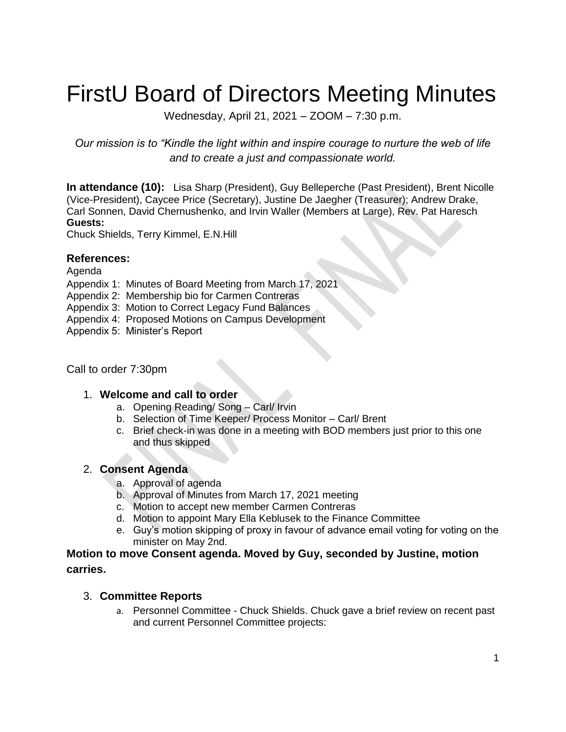# FirstU Board of Directors Meeting Minutes

Wednesday, April 21, 2021 – ZOOM – 7:30 p.m.

*Our mission is to "Kindle the light within and inspire courage to nurture the web of life and to create a just and compassionate world.*

**In attendance (10):** Lisa Sharp (President), Guy Belleperche (Past President), Brent Nicolle (Vice-President), Caycee Price (Secretary), Justine De Jaegher (Treasurer); Andrew Drake, Carl Sonnen, David Chernushenko, and Irvin Waller (Members at Large), Rev. Pat Haresch **Guests:**

Chuck Shields, Terry Kimmel, E.N.Hill

#### **References:**

Agenda

- Appendix 1: Minutes of Board Meeting from March 17, 2021
- Appendix 2: Membership bio for Carmen Contreras
- Appendix 3: Motion to Correct Legacy Fund Balances
- Appendix 4: Proposed Motions on Campus Development

Appendix 5: Minister's Report

#### Call to order 7:30pm

# 1. **Welcome and call to order**

- a. Opening Reading/ Song Carl/ Irvin
- b. Selection of Time Keeper/ Process Monitor Carl/ Brent
- c. Brief check-in was done in a meeting with BOD members just prior to this one and thus skipped

# 2. **Consent Agenda**

- a. Approval of agenda
- b. Approval of Minutes from March 17, 2021 meeting
- c. Motion to accept new member Carmen Contreras
- d. Motion to appoint Mary Ella Keblusek to the Finance Committee
- e. Guy's motion skipping of proxy in favour of advance email voting for voting on the minister on May 2nd.

# **Motion to move Consent agenda. Moved by Guy, seconded by Justine, motion carries.**

# 3. **Committee Reports**

a. Personnel Committee - Chuck Shields. Chuck gave a brief review on recent past and current Personnel Committee projects: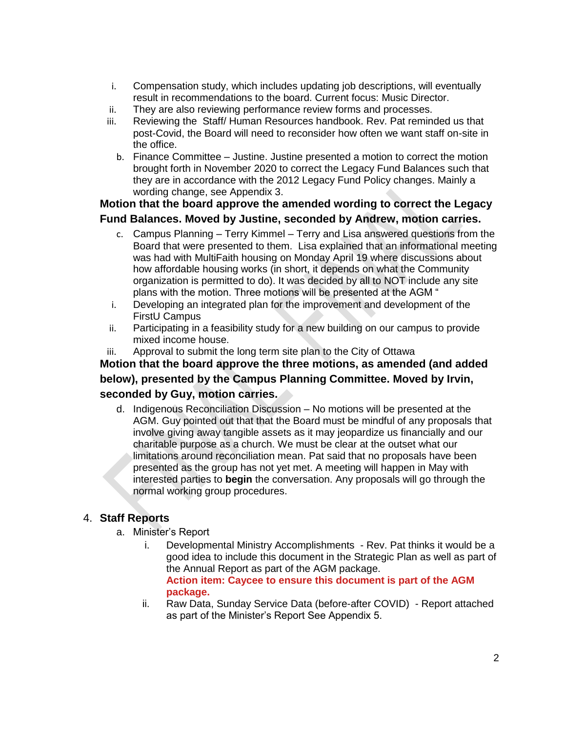- i. Compensation study, which includes updating job descriptions, will eventually result in recommendations to the board. Current focus: Music Director.
- ii. They are also reviewing performance review forms and processes.
- iii. Reviewing the Staff/ Human Resources handbook. Rev. Pat reminded us that post-Covid, the Board will need to reconsider how often we want staff on-site in the office.
	- b. Finance Committee Justine. Justine presented a motion to correct the motion brought forth in November 2020 to correct the Legacy Fund Balances such that they are in accordance with the 2012 Legacy Fund Policy changes. Mainly a wording change, see Appendix 3.

# **Motion that the board approve the amended wording to correct the Legacy Fund Balances. Moved by Justine, seconded by Andrew, motion carries.**

- c. Campus Planning Terry Kimmel Terry and Lisa answered questions from the Board that were presented to them. Lisa explained that an informational meeting was had with MultiFaith housing on Monday April 19 where discussions about how affordable housing works (in short, it depends on what the Community organization is permitted to do). It was decided by all to NOT include any site plans with the motion. Three motions will be presented at the AGM "
- i. Developing an integrated plan for the improvement and development of the FirstU Campus
- ii. Participating in a feasibility study for a new building on our campus to provide mixed income house.
- iii. Approval to submit the long term site plan to the City of Ottawa

# **Motion that the board approve the three motions, as amended (and added below), presented by the Campus Planning Committee. Moved by Irvin, seconded by Guy, motion carries.**

d. Indigenous Reconciliation Discussion – No motions will be presented at the AGM. Guy pointed out that that the Board must be mindful of any proposals that involve giving away tangible assets as it may jeopardize us financially and our charitable purpose as a church. We must be clear at the outset what our limitations around reconciliation mean. Pat said that no proposals have been presented as the group has not yet met. A meeting will happen in May with interested parties to **begin** the conversation. Any proposals will go through the normal working group procedures.

# 4. **Staff Reports**

- a. Minister's Report
	- i. Developmental Ministry Accomplishments Rev. Pat thinks it would be a good idea to include this document in the Strategic Plan as well as part of the Annual Report as part of the AGM package. **Action item: Caycee to ensure this document is part of the AGM package.**
	- ii. Raw Data, Sunday Service Data (before-after COVID) Report attached as part of the Minister's Report See Appendix 5.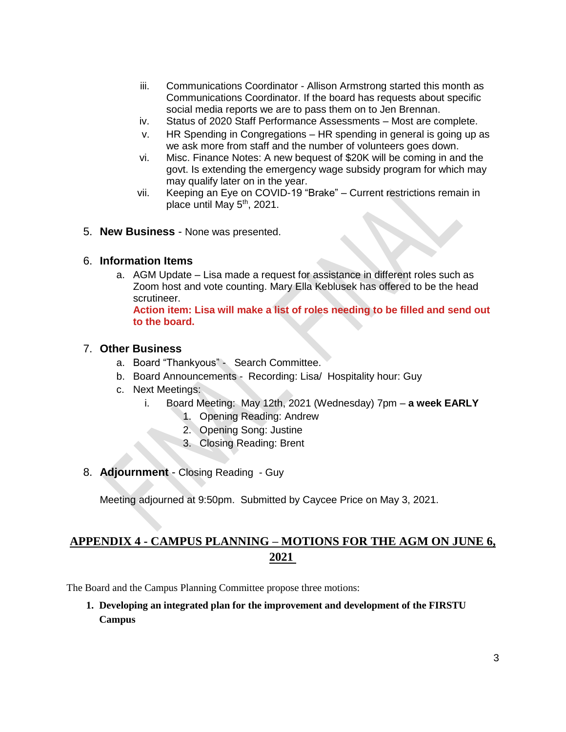- iii. Communications Coordinator Allison Armstrong started this month as Communications Coordinator. If the board has requests about specific social media reports we are to pass them on to Jen Brennan.
- iv. Status of 2020 Staff Performance Assessments Most are complete.
- v. HR Spending in Congregations HR spending in general is going up as we ask more from staff and the number of volunteers goes down.
- vi. Misc. Finance Notes: A new bequest of \$20K will be coming in and the govt. Is extending the emergency wage subsidy program for which may may qualify later on in the year.
- vii. Keeping an Eye on COVID-19 "Brake" Current restrictions remain in place until May 5<sup>th</sup>, 2021.
- 5. **New Business** None was presented.

#### 6. **Information Items**

a. AGM Update – Lisa made a request for assistance in different roles such as Zoom host and vote counting. Mary Ella Keblusek has offered to be the head scrutineer.

**Action item: Lisa will make a list of roles needing to be filled and send out to the board.**

#### 7. **Other Business**

- a. Board "Thankyous" Search Committee.
- b. Board Announcements Recording: Lisa/ Hospitality hour: Guy
- c. Next Meetings:
	- i. Board Meeting: May 12th, 2021 (Wednesday) 7pm **a week EARLY**
		- 1. Opening Reading: Andrew
		- 2. Opening Song: Justine
		- 3. Closing Reading: Brent
- 8. **Adjournment** Closing Reading Guy

Meeting adjourned at 9:50pm. Submitted by Caycee Price on May 3, 2021.

# **APPENDIX 4 - CAMPUS PLANNING – MOTIONS FOR THE AGM ON JUNE 6, 2021**

The Board and the Campus Planning Committee propose three motions:

**1. Developing an integrated plan for the improvement and development of the FIRSTU Campus**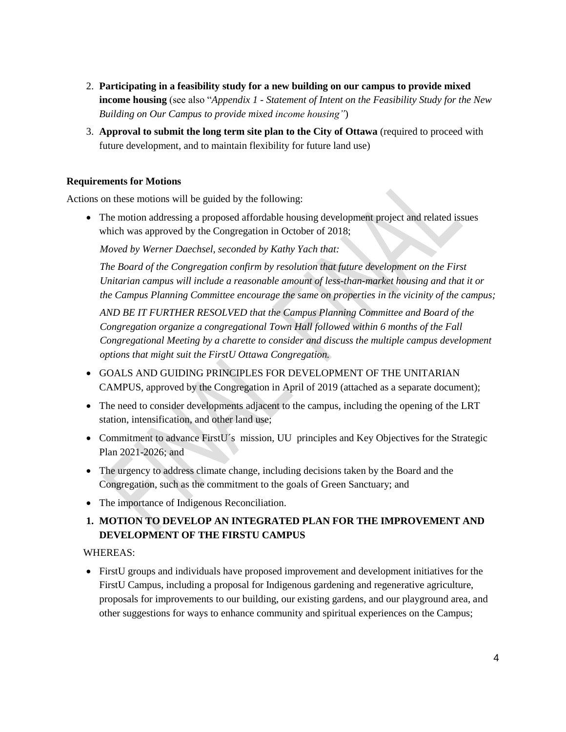- 2. **Participating in a feasibility study for a new building on our campus to provide mixed income housing** (see also "*Appendix 1 - Statement of Intent on the Feasibility Study for the New Building on Our Campus to provide mixed income housing"*)
- 3. **Approval to submit the long term site plan to the City of Ottawa** (required to proceed with future development, and to maintain flexibility for future land use)

#### **Requirements for Motions**

Actions on these motions will be guided by the following:

 The motion addressing a proposed affordable housing development project and related issues which was approved by the Congregation in October of 2018;

*Moved by Werner Daechsel, seconded by Kathy Yach that:*

*The Board of the Congregation confirm by resolution that future development on the First Unitarian campus will include a reasonable amount of less-than-market housing and that it or the Campus Planning Committee encourage the same on properties in the vicinity of the campus;*

*AND BE IT FURTHER RESOLVED that the Campus Planning Committee and Board of the Congregation organize a congregational Town Hall followed within 6 months of the Fall Congregational Meeting by a charette to consider and discuss the multiple campus development options that might suit the FirstU Ottawa Congregation.*

- GOALS AND GUIDING PRINCIPLES FOR DEVELOPMENT OF THE UNITARIAN CAMPUS, approved by the Congregation in April of 2019 (attached as a separate document);
- The need to consider developments adjacent to the campus, including the opening of the LRT station, intensification, and other land use;
- Commitment to advance FirstU's mission, UU principles and Key Objectives for the Strategic Plan 2021-2026; and
- The urgency to address climate change, including decisions taken by the Board and the Congregation, such as the commitment to the goals of Green Sanctuary; and
- The importance of Indigenous Reconciliation.

# **1. MOTION TO DEVELOP AN INTEGRATED PLAN FOR THE IMPROVEMENT AND DEVELOPMENT OF THE FIRSTU CAMPUS**

WHEREAS:

 FirstU groups and individuals have proposed improvement and development initiatives for the FirstU Campus, including a proposal for Indigenous gardening and regenerative agriculture, proposals for improvements to our building, our existing gardens, and our playground area, and other suggestions for ways to enhance community and spiritual experiences on the Campus;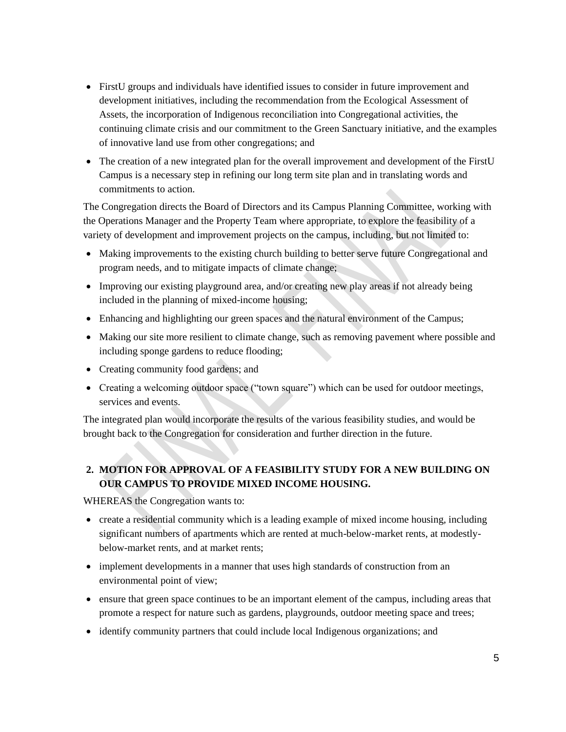- FirstU groups and individuals have identified issues to consider in future improvement and development initiatives, including the recommendation from the Ecological Assessment of Assets, the incorporation of Indigenous reconciliation into Congregational activities, the continuing climate crisis and our commitment to the Green Sanctuary initiative, and the examples of innovative land use from other congregations; and
- The creation of a new integrated plan for the overall improvement and development of the FirstU Campus is a necessary step in refining our long term site plan and in translating words and commitments to action.

The Congregation directs the Board of Directors and its Campus Planning Committee, working with the Operations Manager and the Property Team where appropriate, to explore the feasibility of a variety of development and improvement projects on the campus, including, but not limited to:

- Making improvements to the existing church building to better serve future Congregational and program needs, and to mitigate impacts of climate change;
- Improving our existing playground area, and/or creating new play areas if not already being included in the planning of mixed-income housing;
- Enhancing and highlighting our green spaces and the natural environment of the Campus;
- Making our site more resilient to climate change, such as removing pavement where possible and including sponge gardens to reduce flooding;
- Creating community food gardens; and
- Creating a welcoming outdoor space ("town square") which can be used for outdoor meetings, services and events.

The integrated plan would incorporate the results of the various feasibility studies, and would be brought back to the Congregation for consideration and further direction in the future.

# **2. MOTION FOR APPROVAL OF A FEASIBILITY STUDY FOR A NEW BUILDING ON OUR CAMPUS TO PROVIDE MIXED INCOME HOUSING.**

WHEREAS the Congregation wants to:

- create a residential community which is a leading example of mixed income housing, including significant numbers of apartments which are rented at much-below-market rents, at modestlybelow-market rents, and at market rents;
- implement developments in a manner that uses high standards of construction from an environmental point of view;
- ensure that green space continues to be an important element of the campus, including areas that promote a respect for nature such as gardens, playgrounds, outdoor meeting space and trees;
- identify community partners that could include local Indigenous organizations; and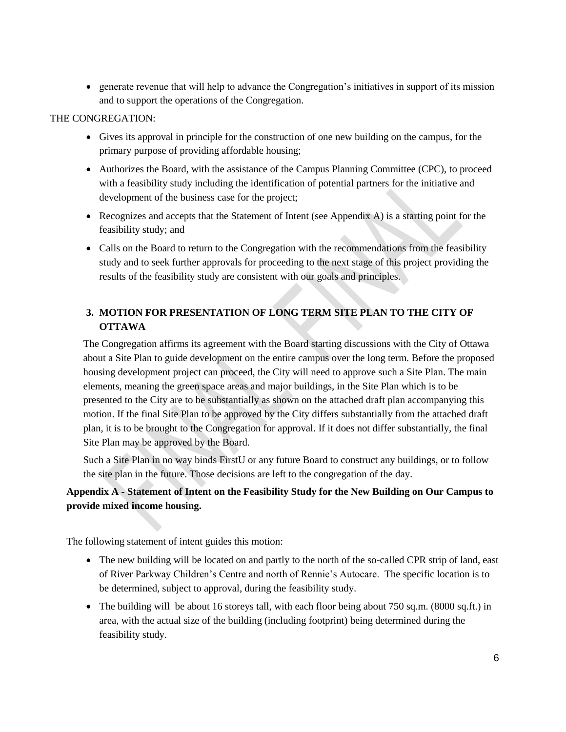generate revenue that will help to advance the Congregation's initiatives in support of its mission and to support the operations of the Congregation.

#### THE CONGREGATION:

- Gives its approval in principle for the construction of one new building on the campus, for the primary purpose of providing affordable housing;
- Authorizes the Board, with the assistance of the Campus Planning Committee (CPC), to proceed with a feasibility study including the identification of potential partners for the initiative and development of the business case for the project;
- Recognizes and accepts that the Statement of Intent (see Appendix A) is a starting point for the feasibility study; and
- Calls on the Board to return to the Congregation with the recommendations from the feasibility study and to seek further approvals for proceeding to the next stage of this project providing the results of the feasibility study are consistent with our goals and principles.

# **3. MOTION FOR PRESENTATION OF LONG TERM SITE PLAN TO THE CITY OF OTTAWA**

The Congregation affirms its agreement with the Board starting discussions with the City of Ottawa about a Site Plan to guide development on the entire campus over the long term. Before the proposed housing development project can proceed, the City will need to approve such a Site Plan. The main elements, meaning the green space areas and major buildings, in the Site Plan which is to be presented to the City are to be substantially as shown on the attached draft plan accompanying this motion. If the final Site Plan to be approved by the City differs substantially from the attached draft plan, it is to be brought to the Congregation for approval. If it does not differ substantially, the final Site Plan may be approved by the Board.

Such a Site Plan in no way binds FirstU or any future Board to construct any buildings, or to follow the site plan in the future. Those decisions are left to the congregation of the day.

# **Appendix A - Statement of Intent on the Feasibility Study for the New Building on Our Campus to provide mixed income housing.**

The following statement of intent guides this motion:

- The new building will be located on and partly to the north of the so-called CPR strip of land, east of River Parkway Children's Centre and north of Rennie's Autocare. The specific location is to be determined, subject to approval, during the feasibility study.
- The building will be about 16 storeys tall, with each floor being about 750 sq.m. (8000 sq.ft.) in area, with the actual size of the building (including footprint) being determined during the feasibility study.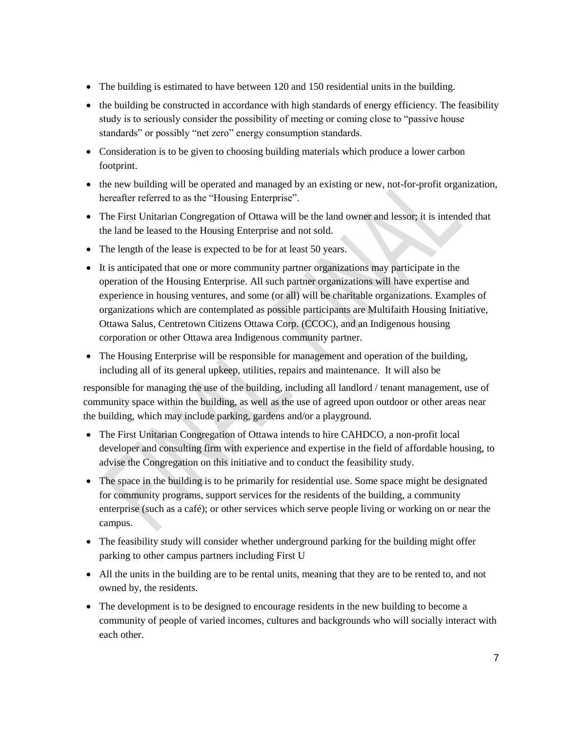- The building is estimated to have between 120 and 150 residential units in the building.
- the building be constructed in accordance with high standards of energy efficiency. The feasibility study is to seriously consider the possibility of meeting or coming close to "passive house standards" or possibly "net zero" energy consumption standards.
- Consideration is to be given to choosing building materials which produce a lower carbon footprint.
- the new building will be operated and managed by an existing or new, not-for-profit organization, hereafter referred to as the "Housing Enterprise".
- The First Unitarian Congregation of Ottawa will be the land owner and lessor; it is intended that the land be leased to the Housing Enterprise and not sold.
- The length of the lease is expected to be for at least 50 years.
- It is anticipated that one or more community partner organizations may participate in the operation of the Housing Enterprise. All such partner organizations will have expertise and experience in housing ventures, and some (or all) will be charitable organizations. Examples of organizations which are contemplated as possible participants are Multifaith Housing Initiative, Ottawa Salus, Centretown Citizens Ottawa Corp. (CCOC), and an Indigenous housing corporation or other Ottawa area Indigenous community partner.
- The Housing Enterprise will be responsible for management and operation of the building, including all of its general upkeep, utilities, repairs and maintenance. It will also be

responsible for managing the use of the building, including all landlord / tenant management, use of community space within the building, as well as the use of agreed upon outdoor or other areas near the building, which may include parking, gardens and/or a playground.

- The First Unitarian Congregation of Ottawa intends to hire CAHDCO, a non-profit local developer and consulting firm with experience and expertise in the field of affordable housing, to advise the Congregation on this initiative and to conduct the feasibility study.
- The space in the building is to be primarily for residential use. Some space might be designated for community programs, support services for the residents of the building, a community enterprise (such as a café); or other services which serve people living or working on or near the campus.
- The feasibility study will consider whether underground parking for the building might offer parking to other campus partners including First U
- All the units in the building are to be rental units, meaning that they are to be rented to, and not owned by, the residents.
- The development is to be designed to encourage residents in the new building to become a community of people of varied incomes, cultures and backgrounds who will socially interact with each other.